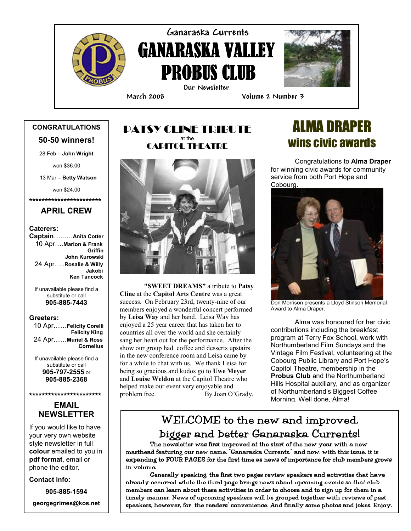

# Ganaraska Currents **GANARASKA VALLEY** PROBUS CLUB Our Newsletter

i



March 2008 Volume 2 Number 3

### CONGRATULATIONS 50-50 winners!

28 Feb – John Wright

won \$36.00

13 Mar – Betty Watson

won \$24.00

\*\*\*\*\*\*\*\*\*\*\*\*\*\*\*\*\*\*\*\*\*\*\*

#### APRIL CREW

#### Caterers:

Captain…..….Anita Cotter 10 Apr….Marion & Frank **Griffin**  John Kurowski 24 Apr…...Rosalie & Willy Jakobi Ken Tancock

If unavailable please find a substitute or call 905-885-7443

#### Greeters:

 10 Apr……Felicity Corelli Felicity King 24 Apr……Muriel & Ross **Cornelius** 

If unavailable please find a substitute or call 905-797-2555 or 905-885-2368

#### \*\*\*\*\*\*\*\*\*\*\*\*\*\*\*\*\*\*\*\*\*\*\*



If you would like to have your very own website style newsletter in full colour emailed to you in pdf format, email or phone the editor.

Contact info:

905-885-1594

georgegrimes@kos.net

#### PATSY CLINE TRIBUTE at the CAPITOL THEATRE



"SWEET DREAMS" a tribute to Patsy Cline at the Capitol Arts Centre was a great success. On February 23rd, twenty-nine of our members enjoyed a wonderful concert performed by Leisa Way and her band. Leisa Way has enjoyed a 25 year career that has taken her to countries all over the world and she certainly sang her heart out for the performance. After the show our group had coffee and desserts upstairs in the new conference room and Leisa came by for a while to chat with us. We thank Leisa for being so gracious and kudos go to Uwe Meyer and Louise Weldon at the Capitol Theatre who helped make our event very enjoyable and<br>problem free. By Joan O' By Joan O'Grady.

# ALMA DRAPER wins civic awards

Congratulations to Alma Draper for winning civic awards for community service from both Port Hope and Cobourg.



Don Morrison presents a Lloyd Stinson Memorial Award to Alma Draper.

Alma was honoured for her civic contributions including the breakfast program at Terry Fox School, work with Northumberland Film Sundays and the Vintage Film Festival, volunteering at the Cobourg Public Library and Port Hope's Capitol Theatre, membership in the Probus Club and the Northumberland Hills Hospital auxiliary, and as organizer of Northumberland's Biggest Coffee Morning. Well done, Alma!

## WELCOME to the new and improved, bigger and better Ganaraska Currents!

The newsletter was first improved at the start of the new year with a new masthead featuring our new name, "Ganaraska Currents," and now, with this issue, it is expanding to FOUR PAGES for the first time as news of importance for club members grows in volume.

Generally speaking, the first two pages review speakers and activities that have already occurred while the third page brings news about upcoming events so that club members can learn about these activities in order to choose and to sign up for them in a timely manner. News of upcoming speakers will be grouped together with reviews of past speakers, however, for the readers' convenience. And finally some photos and jokes. Enjoy.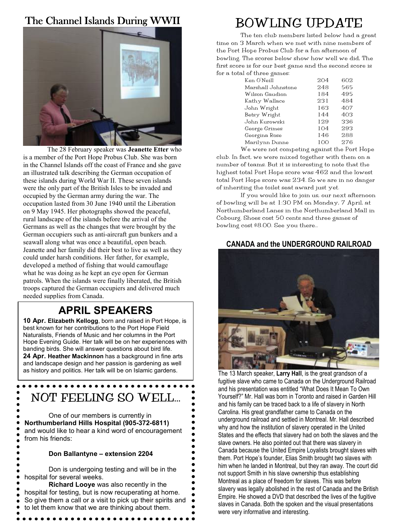### The Channel Islands During WWII



The 28 February speaker was Jeanette Etter who is a member of the Port Hope Probus Club. She was born in the Channel Islands off the coast of France and she gave an illustrated talk describing the German occupation of these islands during World War II. These seven islands were the only part of the British Isles to be invaded and occupied by the German army during the war. The occupation lasted from 30 June 1940 until the Liberation on 9 May 1945. Her photographs showed the peaceful, rural landscape of the islands before the arrival of the Germans as well as the changes that were brought by the German occupiers such as anti-aircraft gun bunkers and a seawall along what was once a beautiful, open beach. Jeanette and her family did their best to live as well as they could under harsh conditions. Her father, for example, developed a method of fishing that would camouflage what he was doing as he kept an eye open for German patrols. When the islands were finally liberated, the British troops captured the German occupiers and delivered much needed supplies from Canada.

## APRIL SPEAKERS

10 Apr. Elizabeth Kellogg, born and raised in Port Hope, is best known for her contributions to the Port Hope Field Naturalists, Friends of Music and her columns in the Port Hope Evening Guide. Her talk will be on her experiences with banding birds. She will answer questions about bird life. 24 Apr. Heather Mackinnon has a background in fine arts and landscape design and her passion is gardening as well as history and politics. Her talk will be on Islamic gardens.

# NOT FEELING SO WELL…

One of our members is currently in Northumberland Hills Hospital (905-372-6811) and would like to hear a kind word of encouragement from his friends:

#### Don Ballantyne – extension 2204

 Don is undergoing testing and will be in the hospital for several weeks.

Richard Looye was also recently in the hospital for testing, but is now recuperating at home. So give them a call or a visit to pick up their spirits and to let them know that we are thinking about them.

# BOWLING UPDATE

The ten club members listed below had a great time on 3 March when we met with nine members of the Port Hope Probus Club for a fun afternoon of bowling. The scores below show how well we did, The first score is for our best game and the second score is for a total of three games:

| Ken O'Neill        | 204 | 602 |
|--------------------|-----|-----|
| Marshall Johnstone | 248 | 565 |
| Wilson Gaudion     | 184 | 495 |
| Kathy Wallace      | 231 | 484 |
| John Wright        | 163 | 407 |
| Betsy Wright       | 144 | 403 |
| John Kurowski      | 129 | 336 |
| George Grimes      | 104 | 293 |
| Georgina Rose      | 146 | 288 |
| Marilynn Dunne     | 100 | 276 |
|                    |     |     |

We were not competing against the Port Hope club. In fact, we were mixed together with them on a number of teams. But it is interesting to note that the highest total Port Hope score was 462 and the lowest total Port Hope score was 234. So we are in no danger of inheriting the toilet seat award just yet.

 If you would like to join us, our next afternoon of bowling will be at 1:30 PM on Monday, 7 April, at Northumberland Lanes in the Northumberland Mall in Cobourg. Shoes cost 50 cents and three games of bowling cost \$8.00. See you there…

#### CANADA and the UNDERGROUND RAILROAD



The 13 March speaker, Larry Hall, is the great grandson of a fugitive slave who came to Canada on the Underground Railroad and his presentation was entitled "What Does It Mean To Own Yourself?" Mr. Hall was born in Toronto and raised in Garden Hill and his family can be traced back to a life of slavery in North Carolina. His great grandfather came to Canada on the underground railroad and settled in Montreal. Mr. Hall described why and how the institution of slavery operated in the United States and the effects that slavery had on both the slaves and the slave owners. He also pointed out that there was slavery in Canada because the United Empire Loyalists brought slaves with them. Port Hope's founder, Elias Smith brought two slaves with him when he landed in Montreal, but they ran away. The court did not support Smith in his slave ownership thus establishing Montreal as a place of freedom for slaves. This was before slavery was legally abolished in the rest of Canada and the British Empire. He showed a DVD that described the lives of the fugitive slaves in Canada. Both the spoken and the visual presentations were very informative and interesting.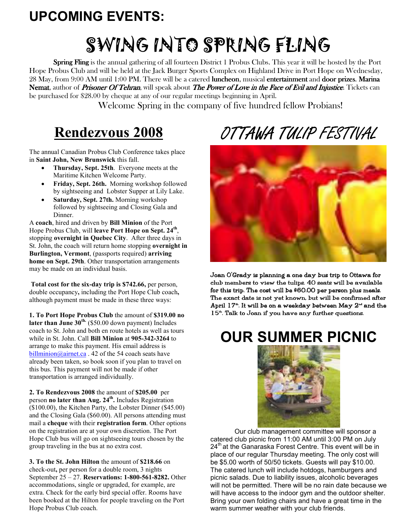# UPCOMING EVENTS:

# SWING INTO SPRING FLING

**Spring Fling** is the annual gathering of all fourteen District 1 Probus Clubs. This year it will be hosted by the Port Hope Probus Club and will be held at the Jack Burger Sports Complex on Highland Drive in Port Hope on Wednesday, 28 May, from 9:00 AM until 1:00 PM. There will be a catered luncheon, musical entertainment and door prizes. Marina Nemat, author of *Prisoner Of Tehran*, will speak about *The Power of Love in the Face of Evil and Injustice*. Tickets can be purchased for \$28.00 by cheque at any of our regular meetings beginning in April.

Welcome Spring in the company of five hundred fellow Probians!

# Rendezvous 2008

The annual Canadian Probus Club Conference takes place in Saint John, New Brunswick this fall.

- Thursday, Sept. 25th. Everyone meets at the Maritime Kitchen Welcome Party.
- Friday, Sept. 26th. Morning workshop followed by sightseeing and Lobster Supper at Lily Lake.
- Saturday, Sept. 27th. Morning workshop followed by sightseeing and Closing Gala and Dinner.

A coach, hired and driven by Bill Minion of the Port Hope Probus Club, will leave Port Hope on Sept. 24<sup>th</sup>, stopping overnight in Quebec City. After three days in St. John, the coach will return home stopping overnight in Burlington, Vermont, (passports required) arriving home on Sept. 29th. Other transportation arrangements may be made on an individual basis.

Total cost for the six-day trip is \$742.66, per person, double occupancy, including the Port Hope Club coach, although payment must be made in these three ways:

1. To Port Hope Probus Club the amount of \$319.00 no later than June  $30^{th}$ . (\$50.00 down payment) Includes coach to St. John and both en route hotels as well as tours while in St. John. Call Bill Minion at 905-342-3264 to arrange to make this payment. His email address is billminion@airnet.ca . 42 of the 54 coach seats have already been taken, so book soon if you plan to travel on this bus. This payment will not be made if other transportation is arranged individually.

2. To Rendezvous 2008 the amount of \$205.00 per person no later than Aug. 24<sup>th</sup>. Includes Registration (\$100.00), the Kitchen Party, the Lobster Dinner (\$45.00) and the Closing Gala (\$60.00). All persons attending must mail a cheque with their registration form. Other options on the registration are at your own discretion. The Port Hope Club bus will go on sightseeing tours chosen by the group traveling in the bus at no extra cost.

3. To the St. John Hilton the amount of \$218.66 on check-out, per person for a double room, 3 nights September 25 – 27. Reservations: 1-800-561-8282. Other accommodations, single or upgraded, for example, are extra. Check for the early bird special offer. Rooms have been booked at the Hilton for people traveling on the Port Hope Probus Club coach.

# OTTAWA TULIP FESTIVAL



Joan O'Grady is planning a one day bus trip to Ottawa for club members to view the tulips. 40 seats will be available for this trip. The cost will be  $$60.00$  per person plus meals. The exact date is not yet known, but will be confirmed after April  $17<sup>th</sup>$ . It will be on a weekday between May  $2<sup>nd</sup>$  and the  $15<sup>th</sup>$ . Talk to Joan if you have any further questions.

# OUR SUMMER PICNIC



Our club management committee will sponsor a catered club picnic from 11:00 AM until 3:00 PM on July 24<sup>th</sup> at the Ganaraska Forest Centre. This event will be in place of our regular Thursday meeting. The only cost will be \$5.00 worth of 50/50 tickets. Guests will pay \$10.00. The catered lunch will include hotdogs, hamburgers and picnic salads. Due to liability issues, alcoholic beverages will not be permitted. There will be no rain date because we will have access to the indoor gym and the outdoor shelter. Bring your own folding chairs and have a great time in the warm summer weather with your club friends.